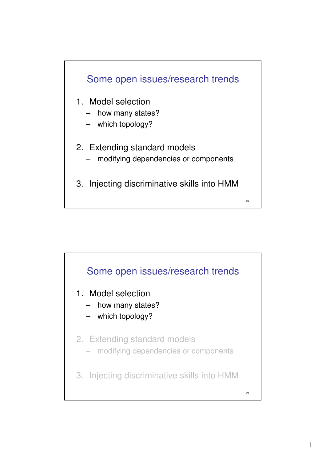

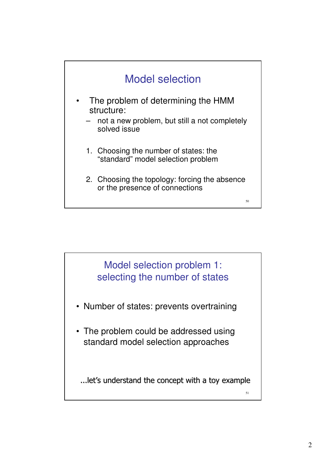



- Number of states: prevents overtraining
- The problem could be addressed using standard model selection approaches

...let's understand the concept with a toy example

51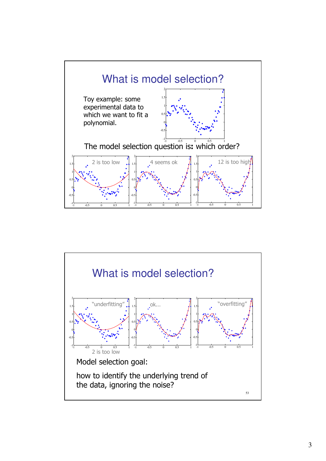

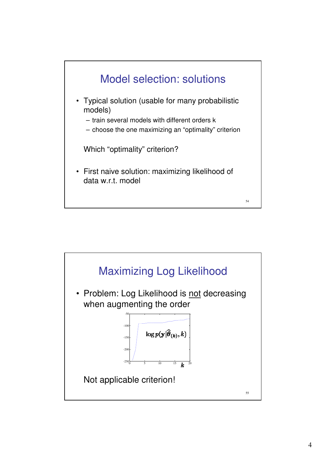

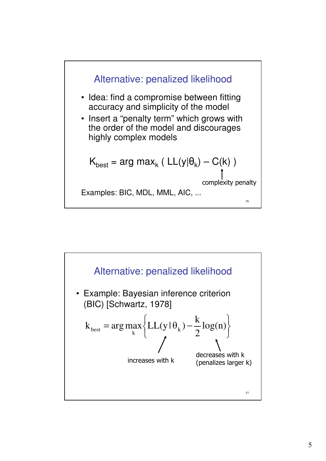

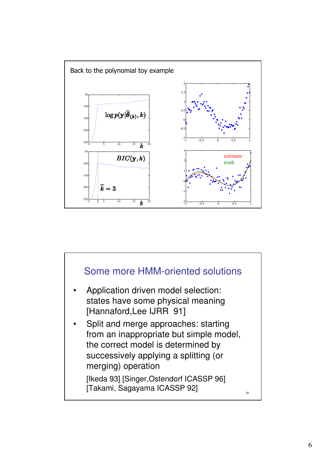

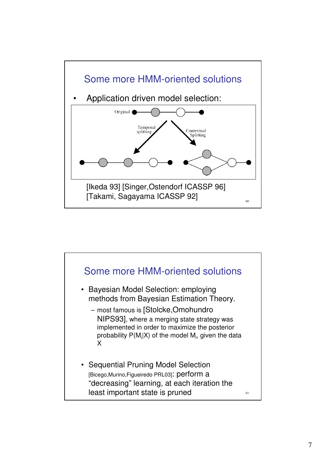

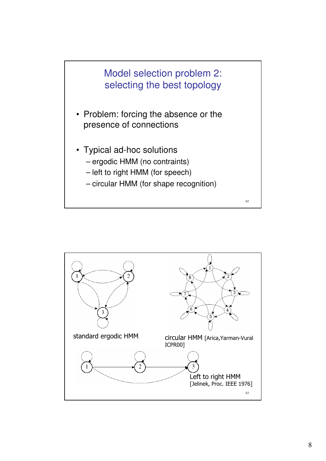

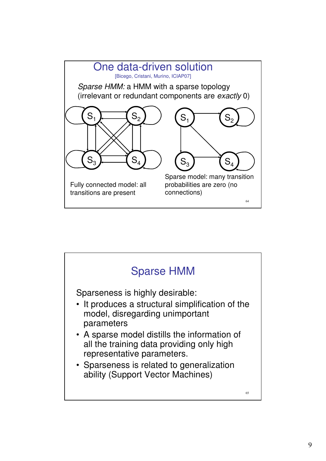

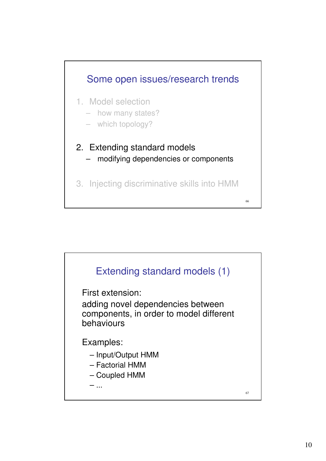

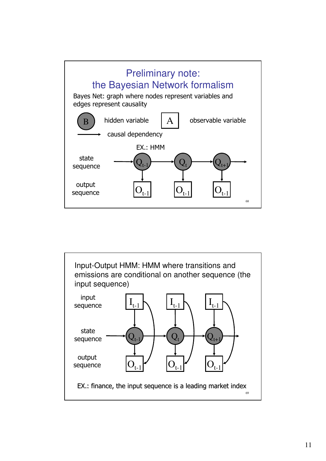

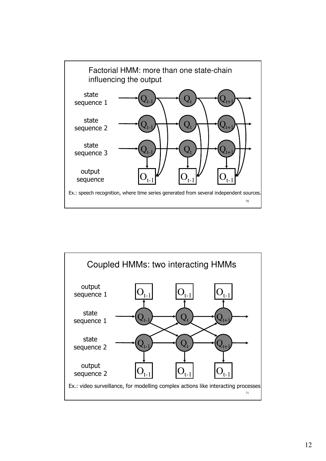

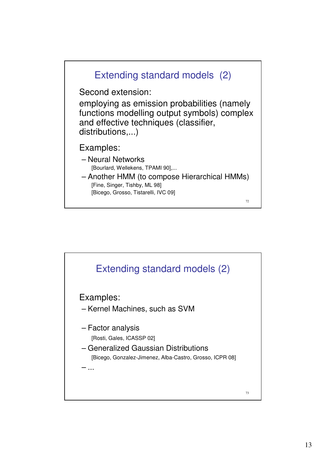

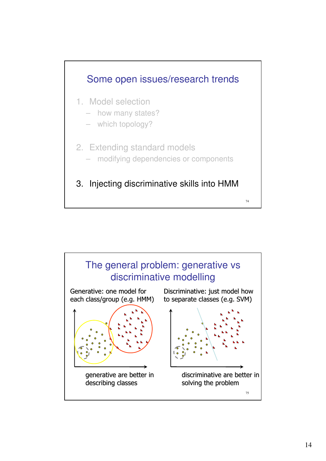

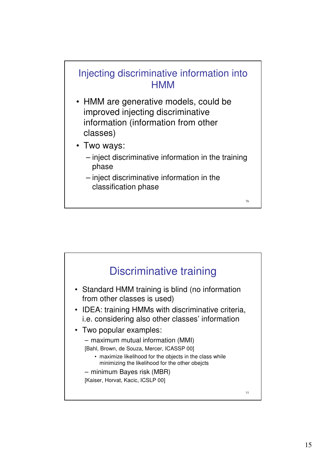## Injecting discriminative information into **HMM**

- HMM are generative models, could be improved injecting discriminative information (information from other classes)
- Two ways:
	- inject discriminative information in the training phase

76

– inject discriminative information in the classification phase

77 Discriminative training • Standard HMM training is blind (no information from other classes is used) • IDEA: training HMMs with discriminative criteria, i.e. considering also other classes' information • Two popular examples: – maximum mutual information (MMI) [Bahl, Brown, de Souza, Mercer, ICASSP 00] • maximize likelihood for the objects in the class while minimizing the likelihood for the other obejcts – minimum Bayes risk (MBR) [Kaiser, Horvat, Kacic, ICSLP 00]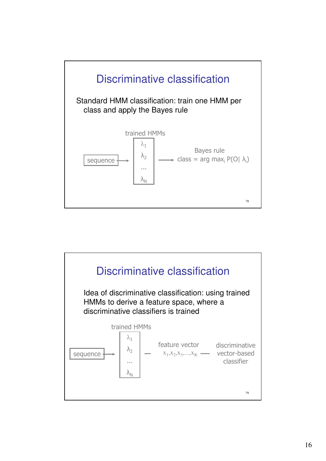

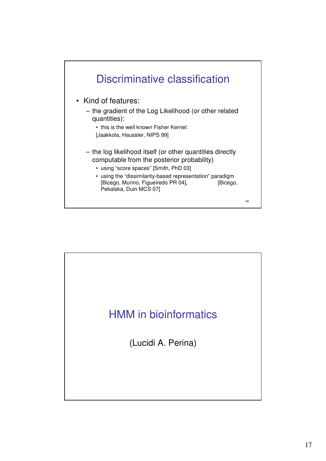

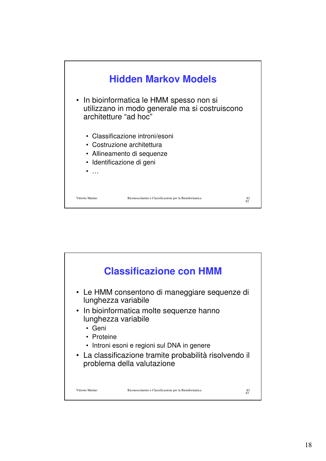

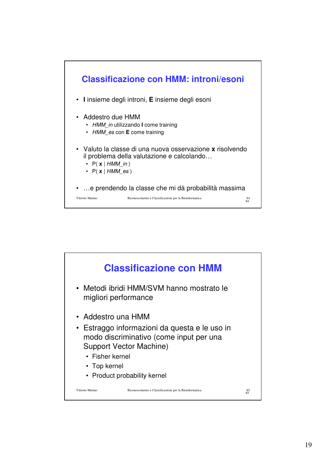

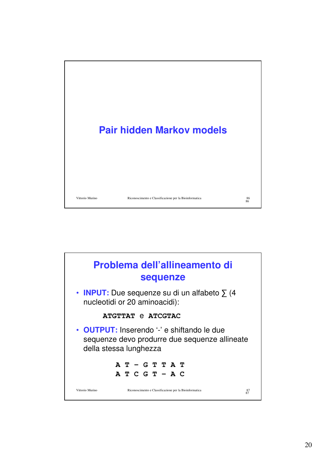

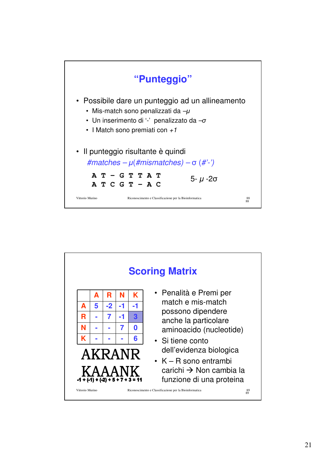

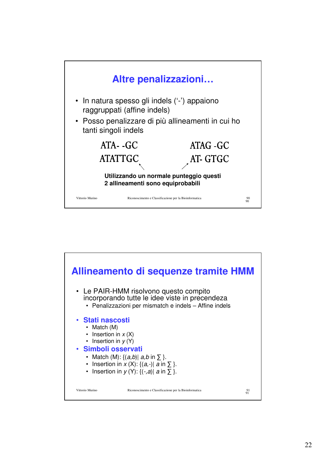

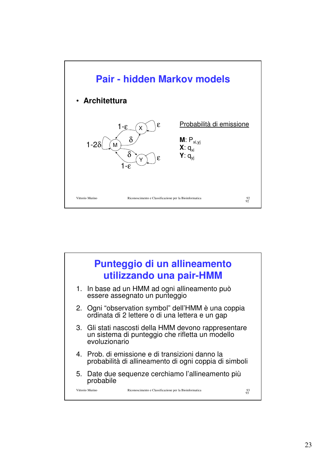

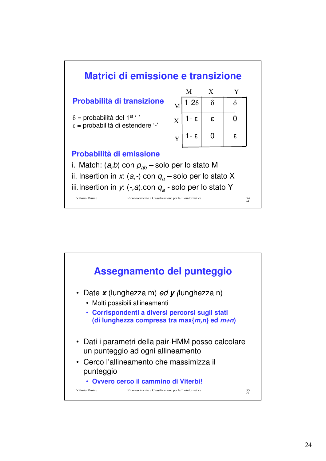

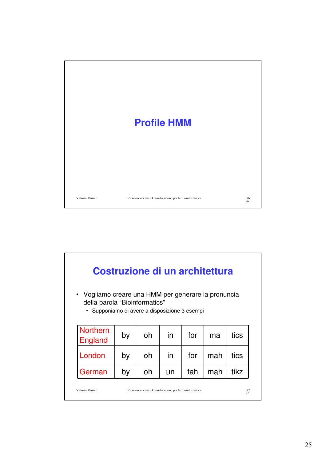

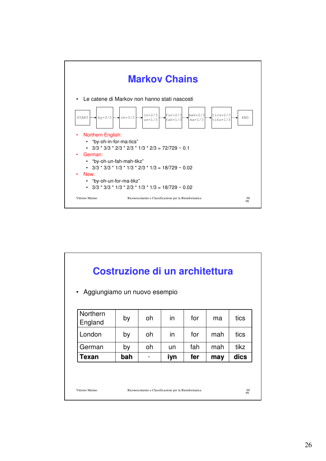

| Aggiungiamo un nuovo esempio<br>$\bullet$ |     |    |     |     |     |      |
|-------------------------------------------|-----|----|-----|-----|-----|------|
| Northern<br>England                       | by  | oh | in  | for | ma  | tics |
| London                                    | by  | oh | in  | for | mah | tics |
| German                                    | by  | oh | un  | fah | mah | tikz |
| Texan                                     | bah |    | iyn | fer | may | dics |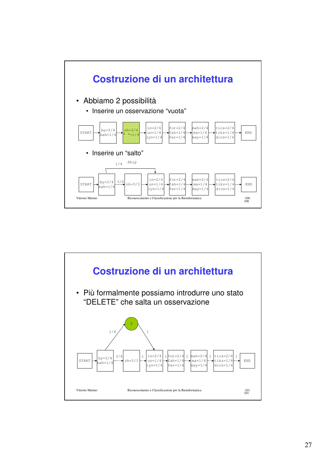

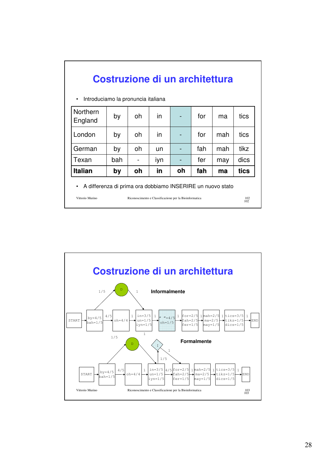| Costruzione di un architettura                                            |     |    |     |    |     |     |      |  |  |  |  |
|---------------------------------------------------------------------------|-----|----|-----|----|-----|-----|------|--|--|--|--|
| Introduciamo la pronuncia italiana<br>$\bullet$                           |     |    |     |    |     |     |      |  |  |  |  |
| Northern<br>England                                                       | by  | oh | in  |    | for | ma  | tics |  |  |  |  |
| London                                                                    | by  | oh | in  |    | for | mah | tics |  |  |  |  |
| German                                                                    | by  | oh | un  |    | fah | mah | tikz |  |  |  |  |
| Texan                                                                     | bah |    | iyn |    | fer | may | dics |  |  |  |  |
| <b>Italian</b>                                                            | by  | oh | in  | oh | fah | ma  | tics |  |  |  |  |
| A differenza di prima ora dobbiamo INSERIRE un nuovo stato<br>$\bullet$   |     |    |     |    |     |     |      |  |  |  |  |
| Vittorio Murino<br>Riconoscimento e Classificazione per la Bioinformatica |     |    |     |    |     |     |      |  |  |  |  |

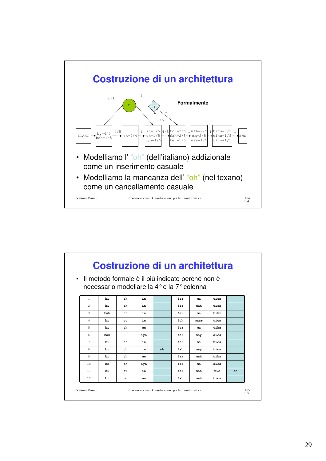

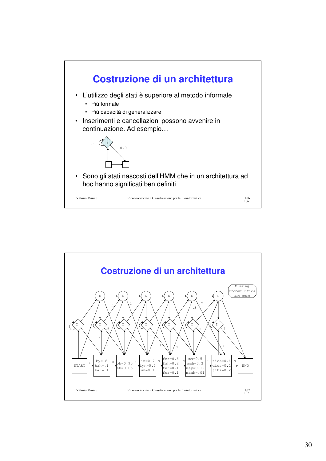

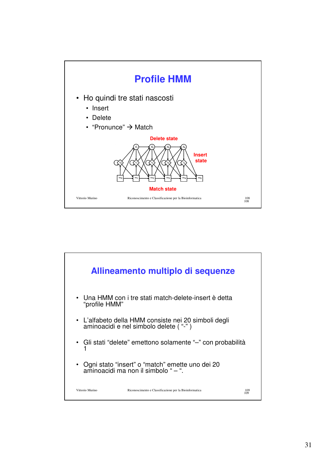

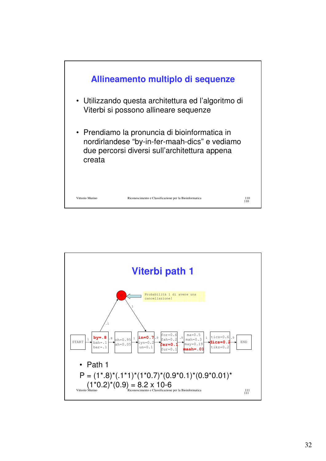

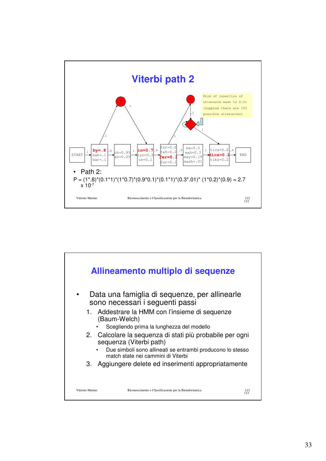

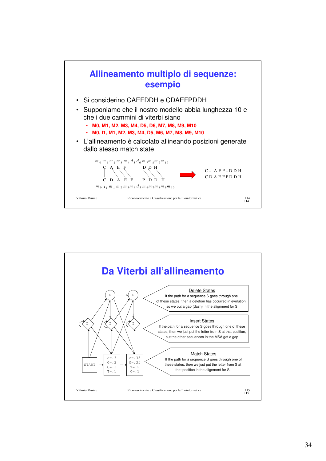

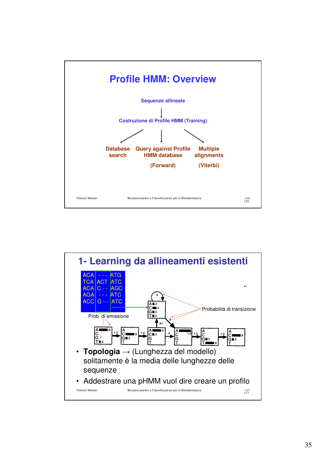